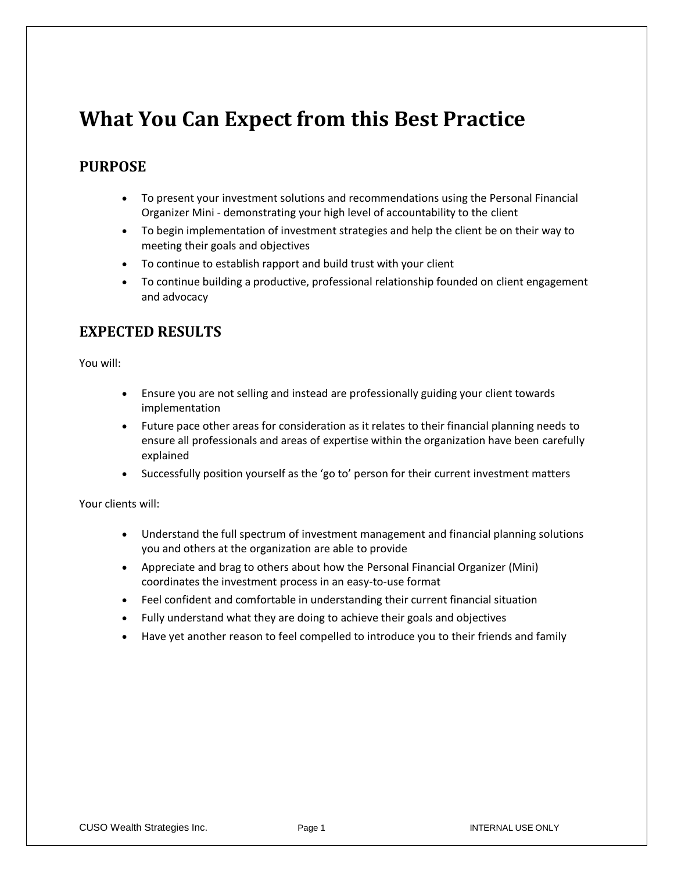## **What You Can Expect from this Best Practice**

## **PURPOSE**

- To present your investment solutions and recommendations using the Personal Financial Organizer Mini - demonstrating your high level of accountability to the client
- To begin implementation of investment strategies and help the client be on their way to meeting their goals and objectives
- To continue to establish rapport and build trust with your client
- To continue building a productive, professional relationship founded on client engagement and advocacy

## **EXPECTED RESULTS**

You will:

- Ensure you are not selling and instead are professionally guiding your client towards implementation
- Future pace other areas for consideration as it relates to their financial planning needs to ensure all professionals and areas of expertise within the organization have been carefully explained
- Successfully position yourself as the 'go to' person for their current investment matters

Your clients will:

- Understand the full spectrum of investment management and financial planning solutions you and others at the organization are able to provide
- Appreciate and brag to others about how the Personal Financial Organizer (Mini) coordinates the investment process in an easy-to-use format
- Feel confident and comfortable in understanding their current financial situation
- Fully understand what they are doing to achieve their goals and objectives
- Have yet another reason to feel compelled to introduce you to their friends and family